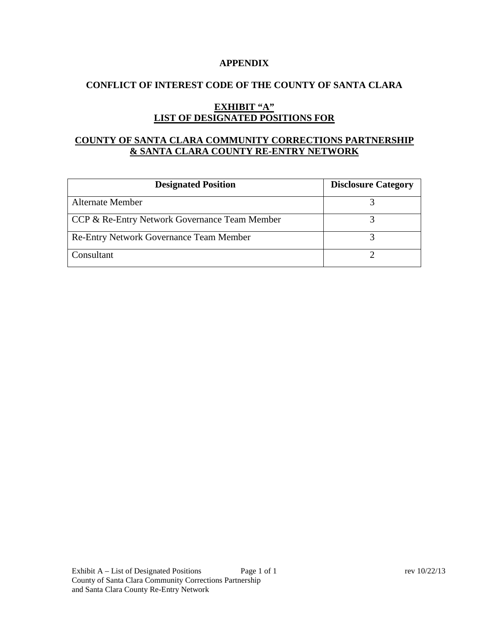#### **APPENDIX**

### **CONFLICT OF INTEREST CODE OF THE COUNTY OF SANTA CLARA**

# **EXHIBIT "A" LIST OF DESIGNATED POSITIONS FOR**

# **COUNTY OF SANTA CLARA COMMUNITY CORRECTIONS PARTNERSHIP & SANTA CLARA COUNTY RE-ENTRY NETWORK**

| <b>Designated Position</b>                     | <b>Disclosure Category</b> |
|------------------------------------------------|----------------------------|
| <b>Alternate Member</b>                        |                            |
| CCP & Re-Entry Network Governance Team Member  |                            |
| <b>Re-Entry Network Governance Team Member</b> |                            |
| Consultant                                     |                            |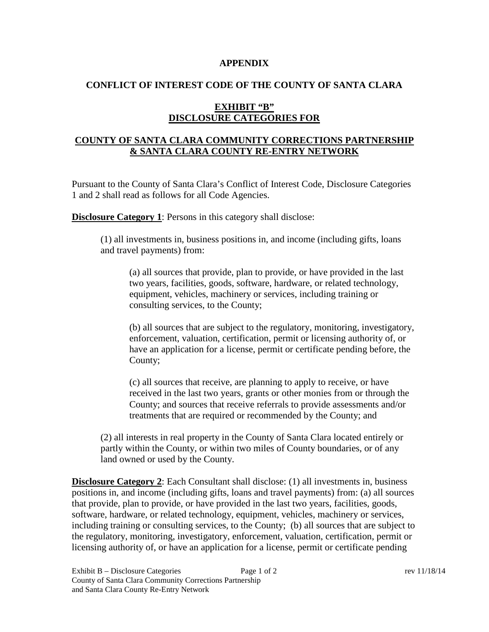#### **APPENDIX**

### **CONFLICT OF INTEREST CODE OF THE COUNTY OF SANTA CLARA**

## **EXHIBIT "B" DISCLOSURE CATEGORIES FOR**

## **COUNTY OF SANTA CLARA COMMUNITY CORRECTIONS PARTNERSHIP & SANTA CLARA COUNTY RE-ENTRY NETWORK**

Pursuant to the County of Santa Clara's Conflict of Interest Code, Disclosure Categories 1 and 2 shall read as follows for all Code Agencies.

**Disclosure Category 1**: Persons in this category shall disclose:

(1) all investments in, business positions in, and income (including gifts, loans and travel payments) from:

(a) all sources that provide, plan to provide, or have provided in the last two years, facilities, goods, software, hardware, or related technology, equipment, vehicles, machinery or services, including training or consulting services, to the County;

(b) all sources that are subject to the regulatory, monitoring, investigatory, enforcement, valuation, certification, permit or licensing authority of, or have an application for a license, permit or certificate pending before, the County;

(c) all sources that receive, are planning to apply to receive, or have received in the last two years, grants or other monies from or through the County; and sources that receive referrals to provide assessments and/or treatments that are required or recommended by the County; and

(2) all interests in real property in the County of Santa Clara located entirely or partly within the County, or within two miles of County boundaries, or of any land owned or used by the County.

**Disclosure Category 2**: Each Consultant shall disclose: (1) all investments in, business positions in, and income (including gifts, loans and travel payments) from: (a) all sources that provide, plan to provide, or have provided in the last two years, facilities, goods, software, hardware, or related technology, equipment, vehicles, machinery or services, including training or consulting services, to the County; (b) all sources that are subject to the regulatory, monitoring, investigatory, enforcement, valuation, certification, permit or licensing authority of, or have an application for a license, permit or certificate pending